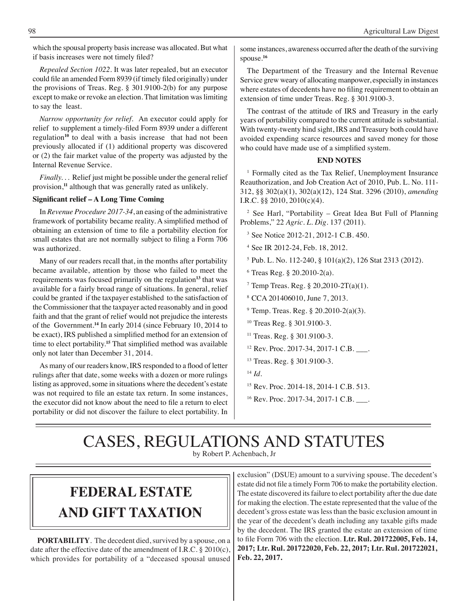which the spousal property basis increase was allocated. But what if basis increases were not timely filed?

*Repealed Section 1022.* It was later repealed, but an executor could file an amended Form 8939 (if timely filed originally) under the provisions of Treas. Reg. § 301.9100-2(b) for any purpose except to make or revoke an election. That limitation was limiting to say the least.

*Narrow opportunity for relief.* An executor could apply for relief to supplement a timely-filed Form 8939 under a different regulation**<sup>10</sup>** to deal with a basis increase that had not been previously allocated if (1) additional property was discovered or (2) the fair market value of the property was adjusted by the Internal Revenue Service.

*Finally...* Relief just might be possible under the general relief provision,**<sup>11</sup>** although that was generally rated as unlikely.

### **Significant relief – A Long Time Coming**

In *Revenue Procedure 2017-34*, an easing of the administrative framework of portability became reality. A simplified method of obtaining an extension of time to file a portability election for small estates that are not normally subject to filing a Form 706 was authorized.

Many of our readers recall that, in the months after portability became available, attention by those who failed to meet the requirements was focused primarily on the regulation**<sup>13</sup>** that was available for a fairly broad range of situations. In general, relief could be granted if the taxpayer established to the satisfaction of the Commissioner that the taxpayer acted reasonably and in good faith and that the grant of relief would not prejudice the interests of the Government.**<sup>14</sup>** In early 2014 (since February 10, 2014 to be exact), IRS published a simplified method for an extension of time to elect portability.**<sup>15</sup>** That simplified method was available only not later than December 31, 2014.

As many of our readers know, IRS responded to a flood of letter rulings after that date, some weeks with a dozen or more rulings listing as approved, some in situations where the decedent's estate was not required to file an estate tax return. In some instances, the executor did not know about the need to file a return to elect portability or did not discover the failure to elect portability. In some instances, awareness occurred after the death of the surviving spouse.**<sup>16</sup>**

The Department of the Treasury and the Internal Revenue Service grew weary of allocating manpower, especially in instances where estates of decedents have no filing requirement to obtain an extension of time under Treas. Reg. § 301.9100-3.

The contrast of the attitude of IRS and Treasury in the early years of portability compared to the current attitude is substantial. With twenty-twenty hind sight, IRS and Treasury both could have avoided expending scarce resources and saved money for those who could have made use of a simplified system.

### **END NOTES**

<sup>1</sup> Formally cited as the Tax Relief, Unemployment Insurance Reauthorization, and Job Creation Act of 2010, Pub. L. No. 111- 312, §§ 302(a)(1), 302(a)(12), 124 Stat. 3296 (2010), *amending*  I.R.C. §§ 2010, 2010(c)(4).

<sup>2</sup> See Harl, "Portability – Great Idea But Full of Planning Problems," 22 *Agric. L. Dig*. 137 (2011).

<sup>3</sup> See Notice 2012-21, 2012-1 C.B. 450.

<sup>4</sup>See IR 2012-24, Feb. 18, 2012.

5 Pub. L. No. 112-240, § 101(a)(2), 126 Stat 2313 (2012).

 $6$  Treas Reg. § 20.2010-2(a).

<sup>7</sup> Temp Treas. Reg. § 20,2010-2T(a)(1).

8 CCA 201406010, June 7, 2013.

 $9$  Temp. Treas. Reg. § 20.2010-2(a)(3).

<sup>10</sup> Treas Reg. § 301.9100-3.

- <sup>11</sup> Treas. Reg. § 301.9100-3.
- 12 Rev. Proc. 2017-34, 2017-1 C.B. \_\_\_.
- <sup>13</sup>Treas. Reg. § 301.9100-3.

<sup>14</sup>*Id*.

- 15 Rev. Proc. 2014-18, 2014-1 C.B. 513.
- <sup>16</sup> Rev. Proc. 2017-34, 2017-1 C.B. \_\_\_.

# CASES, REGULATIONS AND STATUTES

by Robert P. Achenbach, Jr

## **FEDERAL ESTATE AND GIFT taxation**

**PORTABILITY**. The decedent died, survived by a spouse, on a date after the effective date of the amendment of I.R.C. § 2010(c), which provides for portability of a "deceased spousal unused exclusion" (DSUE) amount to a surviving spouse*.* The decedent's estate did not file a timely Form 706 to make the portability election. The estate discovered its failure to elect portability after the due date for making the election. The estate represented that the value of the decedent's gross estate was less than the basic exclusion amount in the year of the decedent's death including any taxable gifts made by the decedent. The IRS granted the estate an extension of time to file Form 706 with the election. **Ltr. Rul. 201722005, Feb. 14, 2017; Ltr. Rul. 201722020, Feb. 22, 2017; Ltr. Rul. 201722021, Feb. 22, 2017.**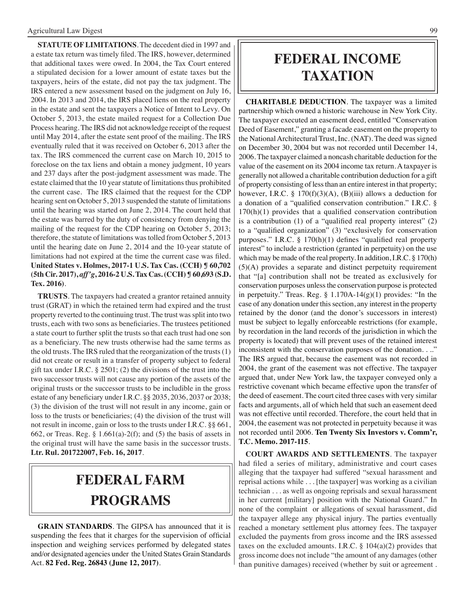**STATUTE OF LIMITATIONS**. The decedent died in 1997 and a estate tax return was timely filed. The IRS, however, determined that additional taxes were owed. In 2004, the Tax Court entered a stipulated decision for a lower amount of estate taxes but the taxpayers, heirs of the estate, did not pay the tax judgment. The IRS entered a new assessment based on the judgment on July 16, 2004. In 2013 and 2014, the IRS placed liens on the real property in the estate and sent the taxpayers a Notice of Intent to Levy. On October 5, 2013, the estate mailed request for a Collection Due Process hearing. The IRS did not acknowledge receipt of the request until May 2014, after the estate sent proof of the mailing. The IRS eventually ruled that it was received on October 6, 2013 after the tax. The IRS commenced the current case on March 10, 2015 to foreclose on the tax liens and obtain a money judgment, 10 years and 237 days after the post-judgment assessment was made. The estate claimed that the 10 year statute of limitations thus prohibited the current case. The IRS claimed that the request for the CDP hearing sent on October 5, 2013 suspended the statute of limitations until the hearing was started on June 2, 2014. The court held that the estate was barred by the duty of consistency from denying the mailing of the request for the CDP hearing on October 5, 2013; therefore, the statute of limitations was tolled from October 5, 2013 until the hearing date on June 2, 2014 and the 10-year statute of limitations had not expired at the time the current case was filed. **United States v. Holmes, 2017-1 U.S. Tax Cas. (CCH) ¶ 60,702 (5th Cir. 2017),** *aff'g***, 2016-2 U.S. Tax Cas. (CCH) ¶ 60,693 (S.D. Tex. 2016)**.

**TRUSTS**. The taxpayers had created a grantor retained annuity trust (GRAT) in which the retained term had expired and the trust property reverted to the continuing trust. The trust was split into two trusts, each with two sons as beneficiaries. The trustees petitioned a state court to further split the trusts so that each trust had one son as a beneficiary. The new trusts otherwise had the same terms as the old trusts. The IRS ruled that the reorganization of the trusts (1) did not create or result in a transfer of property subject to federal gift tax under I.R.C. § 2501; (2) the divisions of the trust into the two successor trusts will not cause any portion of the assets of the original trusts or the successor trusts to be includible in the gross estate of any beneficiary under I.R.C. §§ 2035, 2036, 2037 or 2038; (3) the division of the trust will not result in any income, gain or loss to the trusts or beneficiaries; (4) the division of the trust will not result in income, gain or loss to the trusts under I.R.C. §§ 661, 662, or Treas. Reg. §  $1.661(a)-2(f)$ ; and (5) the basis of assets in the original trust will have the same basis in the successor trusts. **Ltr. Rul. 201722007, Feb. 16, 2017**.

## **federal Farm programs**

**GRAIN STANDARDS**. The GIPSA has announced that it is suspending the fees that it charges for the supervision of official inspection and weighing services performed by delegated states and/or designated agencies under the United States Grain Standards Act. **82 Fed. Reg. 26843 (June 12, 2017)**.

## **federal income taxation**

**CHARITABLE DEDUCTION**. The taxpayer was a limited partnership which owned a historic warehouse in New York City. The taxpayer executed an easement deed, entitled "Conservation Deed of Easement," granting a facade easement on the property to the National Architectural Trust, Inc. (NAT). The deed was signed on December 30, 2004 but was not recorded until December 14, 2006. The taxpayer claimed a noncash charitable deduction for the value of the easement on its 2004 income tax return. A taxpayer is generally not allowed a charitable contribution deduction for a gift of property consisting of less than an entire interest in that property; however, I.R.C. §  $170(f)(3)(A)$ , (B)(iii) allows a deduction for a donation of a "qualified conservation contribution." I.R.C. §  $170(h)(1)$  provides that a qualified conservation contribution is a contribution (1) of a "qualified real property interest" (2) to a "qualified organization" (3) "exclusively for conservation purposes." I.R.C. § 170(h)(1) defines "qualified real property interest" to include a restriction (granted in perpetuity) on the use which may be made of the real property. In addition, I.R.C. § 170(h) (5)(A) provides a separate and distinct perpetuity requirement that "[a] contribution shall not be treated as exclusively for conservation purposes unless the conservation purpose is protected in perpetuity." Treas. Reg. § 1.170A-14(g)(1) provides: "In the case of any donation under this section, any interest in the property retained by the donor (and the donor's successors in interest) must be subject to legally enforceable restrictions (for example, by recordation in the land records of the jurisdiction in which the property is located) that will prevent uses of the retained interest inconsistent with the conservation purposes of the donation. . .." The IRS argued that, because the easement was not recorded in 2004, the grant of the easement was not effective. The taxpayer argued that, under New York law, the taxpayer conveyed only a restrictive covenant which became effective upon the transfer of the deed of easement. The court cited three cases with very similar facts and arguments, all of which held that such an easement deed was not effective until recorded. Therefore, the court held that in 2004, the easement was not protected in perpetuity because it was not recorded until 2006. **Ten Twenty Six Investors v. Comm'r, T.C. Memo. 2017-115**.

**COURT AWARDS AND SETTLEMENTS**. The taxpayer had filed a series of military, administrative and court cases alleging that the taxpayer had suffered "sexual harassment and reprisal actions while . . . [the taxpayer] was working as a civilian technician . . . as well as ongoing reprisals and sexual harassment in her current [military] position with the National Guard." In none of the complaint or allegations of sexual harassment, did the taxpayer allege any physical injury. The parties eventually reached a monetary settlement plus attorney fees. The taxpayer excluded the payments from gross income and the IRS assessed taxes on the excluded amounts. I.R.C.  $\S$  104(a)(2) provides that gross income does not include "the amount of any damages (other than punitive damages) received (whether by suit or agreement .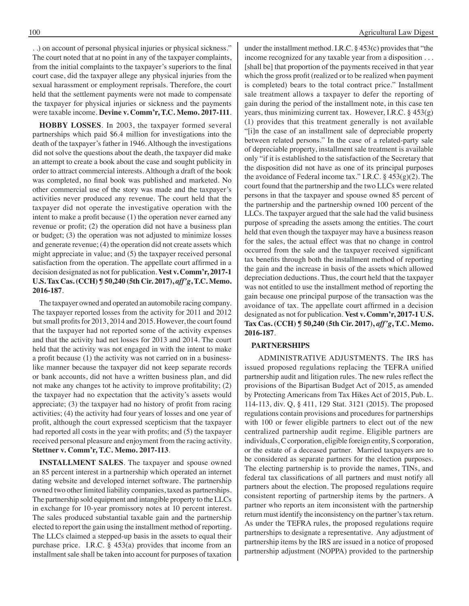. .) on account of personal physical injuries or physical sickness." The court noted that at no point in any of the taxpayer complaints, from the initial complaints to the taxpayer's superiors to the final court case, did the taxpayer allege any physical injuries from the sexual harassment or employment reprisals. Therefore, the court held that the settlement payments were not made to compensate the taxpayer for physical injuries or sickness and the payments were taxable income. **Devine v. Comm'r, T.C. Memo. 2017-111**.

**HOBBY LOSSES**. In 2003, the taxpayer formed several partnerships which paid \$6.4 million for investigations into the death of the taxpayer's father in 1946. Although the investigations did not solve the questions about the death, the taxpayer did make an attempt to create a book about the case and sought publicity in order to attract commercial interests. Although a draft of the book was completed, no final book was published and marketed. No other commercial use of the story was made and the taxpayer's activities never produced any revenue. The court held that the taxpayer did not operate the investigative operation with the intent to make a profit because (1) the operation never earned any revenue or profit; (2) the operation did not have a business plan or budget; (3) the operation was not adjusted to minimize losses and generate revenue; (4) the operation did not create assets which might appreciate in value; and (5) the taxpayer received personal satisfaction from the operation. The appellate court affirmed in a decision designated as not for publication. **Vest v. Comm'r, 2017-1 U.S. Tax Cas. (CCH) ¶ 50,240 (5th Cir. 2017),** *aff'g***, T.C. Memo. 2016-187**.

The taxpayer owned and operated an automobile racing company. The taxpayer reported losses from the activity for 2011 and 2012 but small profits for 2013, 2014 and 2015. However, the court found that the taxpayer had not reported some of the activity expenses and that the activity had net losses for 2013 and 2014. The court held that the activity was not engaged in with the intent to make a profit because (1) the activity was not carried on in a businesslike manner because the taxpayer did not keep separate records or bank accounts, did not have a written business plan, and did not make any changes tot he activity to improve profitability; (2) the taxpayer had no expectation that the activity's assets would appreciate; (3) the taxpayer had no history of profit from racing activities; (4) the activity had four years of losses and one year of profit, although the court expressed scepticism that the taxpayer had reported all costs in the year with profits; and (5) the taxpayer received personal pleasure and enjoyment from the racing activity. **Stettner v. Comm'r, T.C. Memo. 2017-113**.

**INSTALLMENT SALES**. The taxpayer and spouse owned an 85 percent interest in a partnership which operated an internet dating website and developed internet software. The partnership owned two other limited liability companies, taxed as partnerships. The partnership sold equipment and intangible property to the LLCs in exchange for 10-year promissory notes at 10 percent interest. The sales produced substantial taxable gain and the partnership elected to report the gain using the installment method of reporting. The LLCs claimed a stepped-up basis in the assets to equal their purchase price. I.R.C. § 453(a) provides that income from an installment sale shall be taken into account for purposes of taxation under the installment method. I.R.C. § 453(c) provides that "the income recognized for any taxable year from a disposition . . . [shall be] that proportion of the payments received in that year which the gross profit (realized or to be realized when payment is completed) bears to the total contract price." Installment sale treatment allows a taxpayer to defer the reporting of gain during the period of the installment note, in this case ten years, thus minimizing current tax. However, I.R.C. § 453(g) (1) provides that this treatment generally is not available "[i]n the case of an installment sale of depreciable property between related persons." In the case of a related-party sale of depreciable property, installment sale treatment is available only "if it is established to the satisfaction of the Secretary that the disposition did not have as one of its principal purposes the avoidance of Federal income tax." I.R.C.  $\S$  453(g)(2). The court found that the partnership and the two LLCs were related persons in that the taxpayer and spouse owned 85 percent of the partnership and the partnership owned 100 percent of the LLCs. The taxpayer argued that the sale had the valid business purpose of spreading the assets among the entities. The court held that even though the taxpayer may have a business reason for the sales, the actual effect was that no change in control occurred from the sale and the taxpayer received significant tax benefits through both the installment method of reporting the gain and the increase in basis of the assets which allowed depreciation deductions. Thus, the court held that the taxpayer was not entitled to use the installment method of reporting the gain because one principal purpose of the transaction was the avoidance of tax. The appellate court affirmed in a decision designated as not for publication. **Vest v. Comm'r, 2017-1 U.S. Tax Cas. (CCH) ¶ 50,240 (5th Cir. 2017),** *aff'g***, T.C. Memo. 2016-187**.

### **PARTNERSHIPS**

 ADMINISTRATIVE ADJUSTMENTS. The IRS has issued proposed regulations replacing the TEFRA unified partnership audit and litigation rules. The new rules reflect the provisions of the Bipartisan Budget Act of 2015, as amended by Protecting Americans from Tax Hikes Act of 2015, Pub. L. 114-113, div. Q, § 411, 129 Stat. 3121 (2015). The proposed regulations contain provisions and procedures for partnerships with 100 or fewer eligible partners to elect out of the new centralized partnership audit regime. Eligible partners are individuals, C corporation, eligible foreign entity, S corporation, or the estate of a deceased partner. Married taxpayers are to be considered as separate partners for the election purposes. The electing partnership is to provide the names, TINs, and federal tax classifications of all partners and must notify all partners about the election. The proposed regulations require consistent reporting of partnership items by the partners. A partner who reports an item inconsistent with the partnership return must identify the inconsistency on the partner's tax return. As under the TEFRA rules, the proposed regulations require partnerships to designate a representative. Any adjustment of partnership items by the IRS are issued in a notice of proposed partnership adjustment (NOPPA) provided to the partnership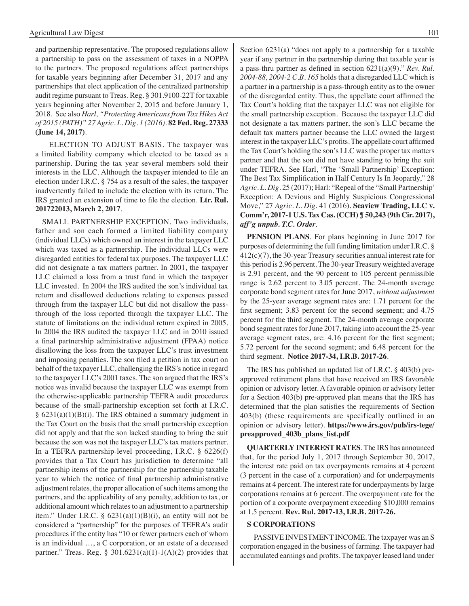and partnership representative. The proposed regulations allow a partnership to pass on the assessment of taxes in a NOPPA to the partners. The proposed regulations affect partnerships for taxable years beginning after December 31, 2017 and any partnerships that elect application of the centralized partnership audit regime pursuant to Treas. Reg. § 301.9100-22T for taxable years beginning after November 2, 2015 and before January 1, 2018. See also *Harl, "Protecting Americans from Tax Hikes Act of 2015 (PATH)" 27 Agric. L. Dig. 1 (2016)*. **82 Fed. Reg. 27333 (June 14, 2017)**.

ELECTION TO ADJUST BASIS. The taxpayer was a limited liability company which elected to be taxed as a partnership. During the tax year several members sold their interests in the LLC. Although the taxpayer intended to file an election under I.R.C. § 754 as a result of the sales, the taxpayer inadvertently failed to include the election with its return. The IRS granted an extension of time to file the election. **Ltr. Rul. 201722013, March 2, 2017**.

SMALL PARTNERSHIP EXCEPTION. Two individuals, father and son each formed a limited liability company (individual LLCs) which owned an interest in the taxpayer LLC which was taxed as a partnership. The individual LLCs were disregarded entities for federal tax purposes. The taxpayer LLC did not designate a tax matters partner. In 2001, the taxpayer LLC claimed a loss from a trust fund in which the taxpayer LLC invested. In 2004 the IRS audited the son's individual tax return and disallowed deductions relating to expenses passed through from the taxpayer LLC but did not disallow the passthrough of the loss reported through the taxpayer LLC. The statute of limitations on the individual return expired in 2005. In 2004 the IRS audited the taxpayer LLC and in 2010 issued a final partnership administrative adjustment (FPAA) notice disallowing the loss from the taxpayer LLC's trust investment and imposing penalties. The son filed a petition in tax court on behalf of the taxpayer LLC, challenging the IRS's notice in regard to the taxpayer LLC's 2001 taxes. The son argued that the IRS's notice was invalid because the taxpayer LLC was exempt from the otherwise-applicable partnership TEFRA audit procedures because of the small-partnership exception set forth at I.R.C.  $§ 6231(a)(1)(B)(i)$ . The IRS obtained a summary judgment in the Tax Court on the basis that the small partnership exception did not apply and that the son lacked standing to bring the suit because the son was not the taxpayer LLC's tax matters partner. In a TEFRA partnership-level proceeding, I.R.C. § 6226(f) provides that a Tax Court has jurisdiction to determine "all partnership items of the partnership for the partnership taxable year to which the notice of final partnership administrative adjustment relates, the proper allocation of such items among the partners, and the applicability of any penalty, addition to tax, or additional amount which relates to an adjustment to a partnership item." Under I.R.C. §  $6231(a)(1)(B)(i)$ , an entity will not be considered a "partnership" for the purposes of TEFRA's audit procedures if the entity has "10 or fewer partners each of whom is an individual …, a C corporation, or an estate of a deceased partner." Treas. Reg.  $\S 301.6231(a)(1)-1(A)(2)$  provides that

Section 6231(a) "does not apply to a partnership for a taxable year if any partner in the partnership during that taxable year is a pass-thru partner as defined in section 6231(a)(9)." *Rev. Rul. 2004-88, 2004-2 C.B. 165* holds that a disregarded LLC which is a partner in a partnership is a pass-through entity as to the owner of the disregarded entity. Thus, the appellate court affirmed the Tax Court's holding that the taxpayer LLC was not eligible for the small partnership exception. Because the taxpayer LLC did not designate a tax matters partner, the son's LLC became the default tax matters partner because the LLC owned the largest interest in the taxpayer LLC's profits. The appellate court affirmed the Tax Court's holding the son's LLC was the proper tax matters partner and that the son did not have standing to bring the suit under TEFRA. See Harl, "The 'Small Partnership' Exception: The Best Tax Simplification in Half Century Is In Jeopardy," 28 *Agric. L. Dig*. 25 (2017); Harl: "Repeal of the "Small Partnership' Exception: A Devious and Highly Suspicious Congressional Move," 27 *Agric. L. Dig*. 41 (2016). **Seaview Trading, LLC v. Comm'r, 2017-1 U.S. Tax Cas. (CCH) ¶ 50,243 (9th Cir. 2017),**  *aff'g unpub. T.C. Order*.

**PENSION PLANS**. For plans beginning in June 2017 for purposes of determining the full funding limitation under I.R.C. § 412(c)(7), the 30-year Treasury securities annual interest rate for this period is 2.96 percent. The 30-year Treasury weighted average is 2.91 percent, and the 90 percent to 105 percent permissible range is 2.62 percent to 3.05 percent. The 24-month average corporate bond segment rates for June 2017, *without adjustment* by the 25-year average segment rates are: 1.71 percent for the first segment; 3.83 percent for the second segment; and 4.75 percent for the third segment. The 24-month average corporate bond segment rates for June 2017, taking into account the 25-year average segment rates, are: 4.16 percent for the first segment; 5.72 percent for the second segment; and 6.48 percent for the third segment. **Notice 2017-34, I.R.B. 2017-26**.

The IRS has published an updated list of I.R.C. § 403(b) preapproved retirement plans that have received an IRS favorable opinion or advisory letter. A favorable opinion or advisory letter for a Section 403(b) pre-approved plan means that the IRS has determined that the plan satisfies the requirements of Section 403(b) (these requirements are specifically outlined in an opinion or advisory letter). **https://www.irs.gov/pub/irs-tege/ preapproved\_403b\_plans\_list.pdf**

**QUARTERLY INTEREST RATES**. The IRS has announced that, for the period July 1, 2017 through September 30, 2017, the interest rate paid on tax overpayments remains at 4 percent (3 percent in the case of a corporation) and for underpayments remains at 4 percent. The interest rate for underpayments by large corporations remains at 6 percent. The overpayment rate for the portion of a corporate overpayment exceeding \$10,000 remains at 1.5 percent. **Rev. Rul. 2017-13, I.R.B. 2017-26.**

#### **S CORPORATIONS**

PASSIVE INVESTMENT INCOME. The taxpayer was an S corporation engaged in the business of farming. The taxpayer had accumulated earnings and profits. The taxpayer leased land under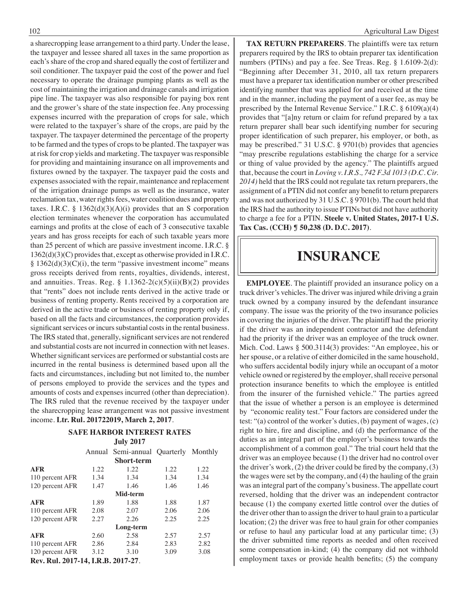a sharecropping lease arrangement to a third party. Under the lease, the taxpayer and lessee shared all taxes in the same proportion as each's share of the crop and shared equally the cost of fertilizer and soil conditioner. The taxpayer paid the cost of the power and fuel necessary to operate the drainage pumping plants as well as the cost of maintaining the irrigation and drainage canals and irrigation pipe line. The taxpayer was also responsible for paying box rent and the grower's share of the state inspection fee. Any processing expenses incurred with the preparation of crops for sale, which were related to the taxpayer's share of the crops, are paid by the taxpayer. The taxpayer determined the percentage of the property to be farmed and the types of crops to be planted. The taxpayer was at risk for crop yields and marketing. The taxpayer was responsible for providing and maintaining insurance on all improvements and fixtures owned by the taxpayer. The taxpayer paid the costs and expenses associated with the repair, maintenance and replacement of the irrigation drainage pumps as well as the insurance, water reclamation tax, water rights fees, water coalition dues and property taxes. I.R.C. § 1362(d)(3)(A)(i) provides that an S corporation election terminates whenever the corporation has accumulated earnings and profits at the close of each of 3 consecutive taxable years and has gross receipts for each of such taxable years more than 25 percent of which are passive investment income. I.R.C. § 1362(d)(3)(C) provides that, except as otherwise provided in I.R.C.  $§ 1362(d)(3)(C)(i)$ , the term "passive investment income" means gross receipts derived from rents, royalties, dividends, interest, and annuities. Treas. Reg. §  $1.1362-2(c)(5)(ii)(B)(2)$  provides that "rents" does not include rents derived in the active trade or business of renting property. Rents received by a corporation are derived in the active trade or business of renting property only if, based on all the facts and circumstances, the corporation provides significant services or incurs substantial costs in the rental business. The IRS stated that, generally, significant services are not rendered and substantial costs are not incurred in connection with net leases. Whether significant services are performed or substantial costs are incurred in the rental business is determined based upon all the facts and circumstances, including but not limited to, the number of persons employed to provide the services and the types and amounts of costs and expenses incurred (other than depreciation). The IRS ruled that the revenue received by the taxpayer under the sharecropping lease arrangement was not passive investment income. **Ltr. Rul. 201722019, March 2, 2017**.

#### **Safe Harbor interest rates July 2017**

|                                                         |       | Annual Semi-annual Quarterly Monthly |      |      |
|---------------------------------------------------------|-------|--------------------------------------|------|------|
|                                                         |       | <b>Short-term</b>                    |      |      |
| <b>AFR</b>                                              | 1.22  | 1.22                                 | 1.22 | 1.22 |
| 110 percent AFR                                         | 1.34  | 1.34                                 | 1.34 | 1.34 |
| 120 percent AFR                                         | 1.47  | 1.46                                 | 1.46 | 1.46 |
|                                                         |       | Mid-term                             |      |      |
| <b>AFR</b>                                              | 1.89  | 1.88                                 | 1.88 | 1.87 |
| 110 percent AFR                                         | 2.08  | 2.07                                 | 2.06 | 2.06 |
| 120 percent AFR                                         | 2.27  | 2.26                                 | 2.25 | 2.25 |
|                                                         |       | Long-term                            |      |      |
| <b>AFR</b>                                              | 2.60  | 2.58                                 | 2.57 | 2.57 |
| 110 percent AFR                                         | 2.86  | 2.84                                 | 2.83 | 2.82 |
| 120 percent AFR                                         | 3.12  | 3.10                                 | 3.09 | 3.08 |
| $D_{\text{max}}$ D <sub>r</sub> . 1 $201\pi$ 1 <i>1</i> | r n n | 2017.27                              |      |      |

**Rev. Rul. 2017-14, I.R.B. 2017-27**.

**TAX RETURN PREPARERS**. The plaintiffs were tax return preparers required by the IRS to obtain preparer tax identification numbers (PTINs) and pay a fee. See Treas. Reg. § 1.6109-2(d): "Beginning after December 31, 2010, all tax return preparers must have a preparer tax identification number or other prescribed identifying number that was applied for and received at the time and in the manner, including the payment of a user fee, as may be prescribed by the Internal Revenue Service." I.R.C. § 6109(a)(4) provides that "[a]ny return or claim for refund prepared by a tax return preparer shall bear such identifying number for securing proper identification of such preparer, his employer, or both, as may be prescribed." 31 U.S.C. § 9701(b) provides that agencies "may prescribe regulations establishing the charge for a service or thing of value provided by the agency." The plaintiffs argued that, because the court in *Loving v. I.R.S., 742 F.3d 1013 (D.C. Cir. 2014)* held that the IRS could not regulate tax return preparers, the assignment of a PTIN did not confer any benefit to return preparers and was not authorized by 31 U.S.C. § 9701(b). The court held that the IRS had the authority to issue PTINs but did not have authority to charge a fee for a PTIN. **Steele v. United States, 2017-1 U.S. Tax Cas. (CCH) ¶ 50,238 (D. D.C. 2017)**.

### **insurance**

**EMPLOYEE**. The plaintiff provided an insurance policy on a truck driver's vehicles. The driver was injured while driving a grain truck owned by a company insured by the defendant insurance company. The issue was the priority of the two insurance policies in covering the injuries of the driver. The plaintiff had the priority if the driver was an independent contractor and the defendant had the priority if the driver was an employee of the truck owner. Mich. Cod. Laws § 500.3114(3) provides: "An employee, his or her spouse, or a relative of either domiciled in the same household, who suffers accidental bodily injury while an occupant of a motor vehicle owned or registered by the employer, shall receive personal protection insurance benefits to which the employee is entitled from the insurer of the furnished vehicle." The parties agreed that the issue of whether a person is an employee is determined by "economic reality test." Four factors are considered under the test: "(a) control of the worker's duties, (b) payment of wages, (c) right to hire, fire and discipline, and (d) the performance of the duties as an integral part of the employer's business towards the accomplishment of a common goal." The trial court held that the driver was an employee because (1) the driver had no control over the driver's work,  $(2)$  the driver could be fired by the company,  $(3)$ the wages were set by the company, and (4) the hauling of the grain was an integral part of the company's business. The appellate court reversed, holding that the driver was an independent contractor because (1) the company exerted little control over the duties of the driver other than to assign the driver to haul grain to a particular location; (2) the driver was free to haul grain for other companies or refuse to haul any particular load at any particular time; (3) the driver submitted time reports as needed and often received some compensation in-kind; (4) the company did not withhold employment taxes or provide health benefits; (5) the company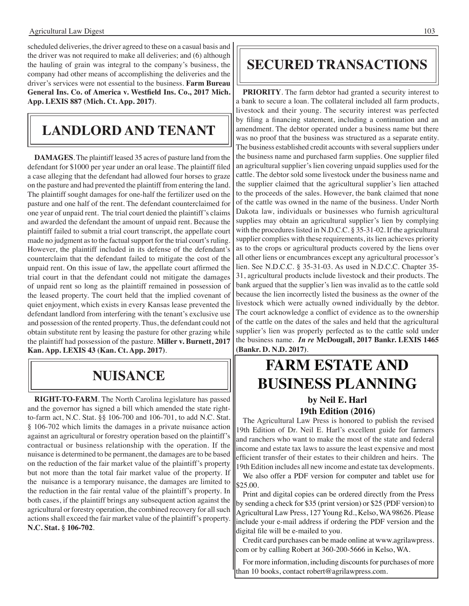scheduled deliveries, the driver agreed to these on a casual basis and the driver was not required to make all deliveries; and (6) although the hauling of grain was integral to the company's business, the company had other means of accomplishing the deliveries and the driver's services were not essential to the business. **Farm Bureau General Ins. Co. of America v. Westfield Ins. Co., 2017 Mich. App. LEXIS 887 (Mich. Ct. App. 2017)**.

## **Landlord and tenant**

**DAMAGES**. The plaintiff leased 35 acres of pasture land from the defendant for \$1000 per year under an oral lease. The plaintiff filed a case alleging that the defendant had allowed four horses to graze on the pasture and had prevented the plaintiff from entering the land. The plaintiff sought damages for one-half the fertilizer used on the pasture and one half of the rent. The defendant counterclaimed for one year of unpaid rent. The trial court denied the plaintiff's claims and awarded the defendant the amount of unpaid rent. Because the plaintiff failed to submit a trial court transcript, the appellate court made no judgment as to the factual support for the trial court's ruling. However, the plaintiff included in its defense of the defendant's counterclaim that the defendant failed to mitigate the cost of the unpaid rent. On this issue of law, the appellate court affirmed the trial court in that the defendant could not mitigate the damages of unpaid rent so long as the plaintiff remained in possession of the leased property. The court held that the implied covenant of quiet enjoyment, which exists in every Kansas lease prevented the defendant landlord from interfering with the tenant's exclusive use and possession of the rented property. Thus, the defendant could not obtain substitute rent by leasing the pasture for other grazing while the plaintiff had possession of the pasture. **Miller v. Burnett, 2017 Kan. App. LEXIS 43 (Kan. Ct. App. 2017)**.

## **NUIsance**

**RIGHT-TO-FARM**. The North Carolina legislature has passed and the governor has signed a bill which amended the state rightto-farm act, N.C. Stat. §§ 106-700 and 106-701, to add N.C. Stat. § 106-702 which limits the damages in a private nuisance action against an agricultural or forestry operation based on the plaintiff's contractual or business relationship with the operation. If the nuisance is determined to be permanent, the damages are to be based on the reduction of the fair market value of the plaintiff's property but not more than the total fair market value of the property. If the nuisance is a temporary nuisance, the damages are limited to the reduction in the fair rental value of the plaintiff's property. In both cases, if the plaintiff brings any subsequent action against the agricultural or forestry operation, the combined recovery for all such actions shall exceed the fair market value of the plaintiff's property. **N.C. Stat. § 106-702**.

## **secured transactions**

**PRIORITY**. The farm debtor had granted a security interest to a bank to secure a loan. The collateral included all farm products, livestock and their young. The security interest was perfected by filing a financing statement, including a continuation and an amendment. The debtor operated under a business name but there was no proof that the business was structured as a separate entity. The business established credit accounts with several suppliers under the business name and purchased farm supplies. One supplier filed an agricultural supplier's lien covering unpaid supplies used for the cattle. The debtor sold some livestock under the business name and the supplier claimed that the agricultural supplier's lien attached to the proceeds of the sales. However, the bank claimed that none of the cattle was owned in the name of the business. Under North Dakota law, individuals or businesses who furnish agricultural supplies may obtain an agricultural supplier's lien by complying with the procedures listed in N.D.C.C. § 35-31-02. If the agricultural supplier complies with these requirements, its lien achieves priority as to the crops or agricultural products covered by the liens over all other liens or encumbrances except any agricultural processor's lien. See N.D.C.C. § 35-31-03. As used in N.D.C.C. Chapter 35- 31, agricultural products include livestock and their products. The bank argued that the supplier's lien was invalid as to the cattle sold because the lien incorrectly listed the business as the owner of the livestock which were actually owned individually by the debtor. The court acknowledge a conflict of evidence as to the ownership of the cattle on the dates of the sales and held that the agricultural supplier's lien was properly perfected as to the cattle sold under the business name. *In re* **McDougall, 2017 Bankr. LEXIS 1465 (Bankr. D. N.D. 2017)**.

## **FARM ESTATE AND BUSINESS PLANNING**

### **by Neil E. Harl 19th Edition (2016)**

The Agricultural Law Press is honored to publish the revised 19th Edition of Dr. Neil E. Harl's excellent guide for farmers and ranchers who want to make the most of the state and federal income and estate tax laws to assure the least expensive and most efficient transfer of their estates to their children and heirs. The 19th Edition includes all new income and estate tax developments.

We also offer a PDF version for computer and tablet use for \$25.00.

Print and digital copies can be ordered directly from the Press by sending a check for \$35 (print version) or \$25 (PDF version) to Agricultural Law Press, 127 Young Rd., Kelso, WA 98626. Please include your e-mail address if ordering the PDF version and the digital file will be e-mailed to you.

Credit card purchases can be made online at www.agrilawpress. com or by calling Robert at 360-200-5666 in Kelso, WA.

For more information, including discounts for purchases of more than 10 books, contact robert@agrilawpress.com.